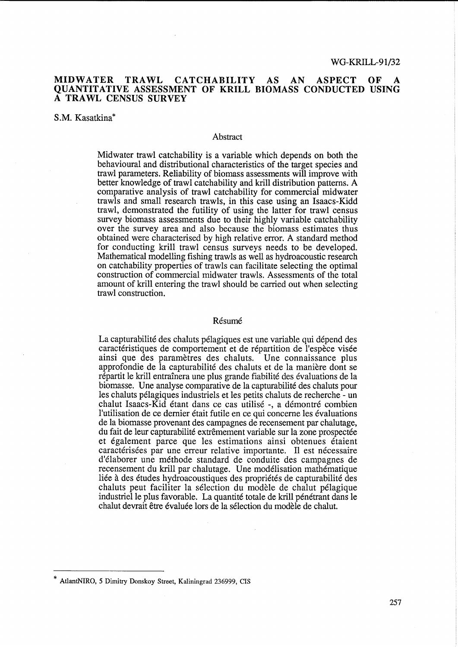## MIDWATER TRAWL CATCHABILITY AS AN ASPECT OF A QUANTIT ATIVE ASSESSMENT OF KRILL BIOMASS CONDUCTED USING A TRAWL CENSUS SURVEY

### S.M. Kasatkina\*

#### **Abstract**

Midwater trawl catchability is a variable which depends on both the behavioural and distributional characteristics of the target species and trawl parameters. Reliability of biomass assessments will improve with better knowledge of trawl catch ability and krill distribution patterns. A comparative analysis of trawl catchability for commercial midwater trawls and small research trawls, in this case using an Isaacs-Kidd trawl, demonstrated the futility of using the latter for trawl census survey biomass assessments due to their highly variable catchability over the survey area and also because the biomass estimates thus obtained were characterised by high relative error. A standard method for conducting krill trawl census surveys needs to be developed. Mathematical modelling fishing trawls as well as hydroacoustic research on catchability properties of trawls can facilitate selecting the optimal construction of commercial midwater trawls. Assessments of the total amount of krill entering the trawl should be carried out when selecting trawl construction.

#### Résumé

La capturabilité des chaluts pélagiques est une variable qui dépend des caractéristiques de comportement et de répartition de l'espèce visée ainsi que des parametres des chaluts. Vne connaissance plus approfondie de la capturabilite des chaluts et de la maniere dont se répartit le krill entraînera une plus grande fiabilité des évaluations de la biomasse. Vne analyse comparative de la capturabilite des chaluts pour les chaluts pelagiques industriels et les petits chaluts de recherche - un chalut Isaacs-Kid etant dans ce cas utilise -, a demontre combien l'utilisation de ce dernier etait futile en ce qui concerne les evaluations de la biomasse provenant des campagnes de recensement par chalutage, du fait de leur capturabilité extrêmement variable sur la zone prospectée et également parce que les estimations ainsi obtenues étaient caractérisées par une erreur relative importante. Il est nécessaire d'elaborer une methode standard de conduite des campagnes de recensement du krill par chalutage. Vne modelisation mathematique liée à des études hydroacoustiques des propriétés de capturabilité des chaluts peut faciliter la selection du modele de chalut pelagique industriel le plus favorable. La quantité totale de krill pénétrant dans le chalut devrait être évaluée lors de la sélection du modèle de chalut.

AtlantNIRO, 5 Dimitry Donskoy Street, Kaliningrad 236999, CIS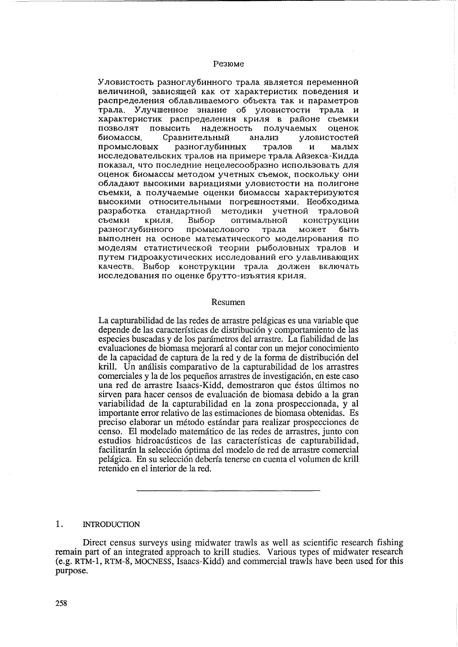## Pe310Me

Уловистость разноглубинного трала является переменной величиной, зависящей как от характеристик поведения и распределения облавливаемого объекта так и параметров трала. Улучшенное знание об уловистости трала и характеристик распределения криля в районе съемки позволят повысить надежность получаемых оценок биомассы. Сравнительный анализ уловистостей промысловых разноглубинных тралов и малых исследовательских тралов на примере трала Айзекса-Кидда показал, что последние нецелесообразно использовать для оценок биомассы методом учетных съемок, поскольку они обладают высокими вариациями уловистости на полигоне съемки, а получаемые оценки биомассы характеризуются высокими относительными погрешностями. Необходима разработка стандартной методики учетной траловой съемки криля. Выбор оптимальной конструкции разноглубинного промыслового трала может быть выполнен на основе математического моделирования по моделям статистической теории рыболовных тралов и путем гидроакустических исследований его улавливающих качеств. Выбор конструкции трала должен включать исследования по оценке брутто-изъятия криля.

#### Resumen

La capturabilidad de las redes de arrastre pelágicas es una variable que depende de las características de distribución y comportamiento de las especies buscadas y de los parametros del arrastre. La fiabilidad de las evaluaciones de biomasa mejorará al contar con un mejor conocimiento de la capacidad de captura de la red y de la forma de distribución del krill. Un análisis comparativo de la capturabilidad de los arrastres comerciales y la de los pequeños arrastres de investigación, en este caso una red de arrastre Isaacs-Kidd, demostraron que éstos últimos no sirven para hacer censos de evaluación de biomasa debido a la gran variabilidad de la capturabilidad en la zona prospeccionada, y al importante error relativo de las estimaciones de biomasa obtenidas. Es preciso elaborar un metodo estandar para realizar prospecciones de censo. El model ado matematico de las redes de arrastres, junto con estudios hidroacústicos de las características de capturabilidad, facilitarán la selección óptima del modelo de red de arrastre comercial pelagica. En su selecci6n deberia tenerse en cuenta el volumen de krill retenido en el interior de la red.

# 1. INTRODUCTION

Direct census surveys using midwater trawls as well as scientific research fishing remain part of an integrated approach to krill studies. Various types of midwater research (e.g. RTM-1, RTM-8, MOCNESS, Isaacs-Kidd) and commercial trawls have been used for this purpose.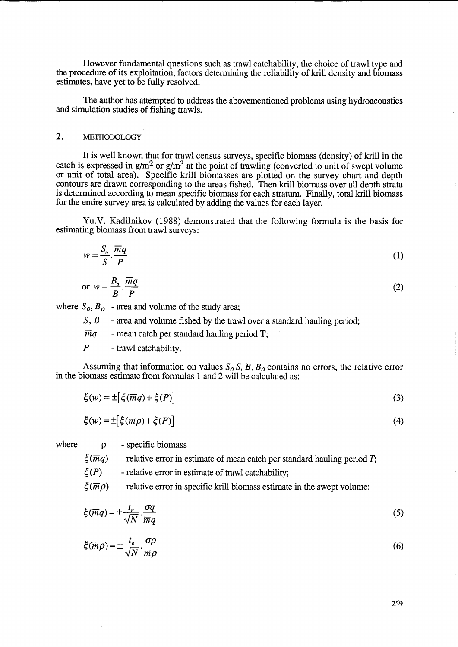However fundamental questions such as trawl catchability, the choice of trawl type and the procedure of its exploitation, factors determining the reliability of krill density and biomass estimates, have yet to be fully resolved.

The author has attempted to address the abovementioned problems using hydroacoustics and simulation studies of fishing trawls.

# 2. METHODOLOGY

It is well known that for trawl census surveys, specific biomass (density) of krill in the catch is expressed in  $g/m^2$  or  $g/m^3$  at the point of trawling (converted to unit of swept volume or unit of total area). Specific krill biomasses are plotted on the survey chart and depth contours are drawn corresponding to the areas fished. Then krill biomass over all depth strata is determined according to mean specific biomass for each stratum. Finally, total krill biomass for the entire survey area is calculated by adding the values for each layer.

Yu.V. Kadilnikov (1988) demonstrated that the following formula is the basis for estimating biomass from trawl surveys:

$$
w = \frac{S_o}{S} \cdot \frac{\overline{m}q}{P} \tag{1}
$$

or 
$$
w = \frac{B_o}{B} \cdot \frac{\overline{m}q}{P}
$$
 (2)

where  $S_0$ ,  $B_0$  - area and volume of the study area;

S, B - area and volume fished by the trawl over a standard hauling period;

 $\overline{m}q$  - mean catch per standard hauling period T;

 $P$  - trawl catchability.

Assuming that information on values  $S_0 S$ , *B*, *B<sub>o</sub>* contains no errors, the relative error in the biomass estimate from formulas 1 and 2 will be calculated as:

$$
\xi(w) = \pm \left[ \xi(\overline{m}q) + \xi(P) \right] \tag{3}
$$

$$
\xi(w) = \pm \left[ \xi(\overline{m}\rho) + \xi(P) \right] \tag{4}
$$

where  $\rho$ 

- specific biomass

 $\xi(\overline{m}q)$ - relative error in estimate of mean catch per standard hauling period T;

 $\zeta(P)$ - relative error in estimate of trawl catchability;

 $\zeta(\overline{m}$ o) - relative error in specific krill biomass estimate in the swept volume:

$$
\xi(\overline{m}q) = \pm \frac{t_{\varepsilon}}{\sqrt{N}} \cdot \frac{\sigma q}{\overline{m}q} \tag{5}
$$

$$
\xi(\overline{m}\rho) = \pm \frac{t_{\varepsilon}}{\sqrt{N}} \cdot \frac{\sigma \rho}{\overline{m}\rho} \tag{6}
$$

259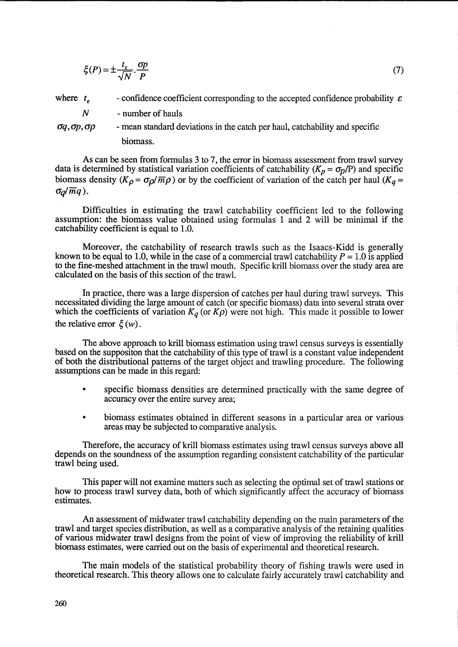$$
\xi(P) = \pm \frac{t_{\varepsilon}}{\sqrt{N}} \cdot \frac{\sigma p}{P} \tag{7}
$$

where  $t_e$ - confidence coefficient corresponding to the accepted confidence probability  $\varepsilon$ 

*N*  - number of hauls

 $\sigma q$ ,  $\sigma p$ ,  $\sigma \rho$  - mean standard deviations in the catch per haul, catchability and specific biomass.

As can be seen from formulas 3 to 7, the error in biomass assessment from trawl survey data is determined by statistical variation coefficients of catchability ( $K_p = \sigma_p/P$ ) and specific biomass density ( $K_{\rho} = \sigma_{\rho}/\overline{m}\rho$ ) or by the coefficient of variation of the catch per haul ( $K_{q} =$  $\sigma_d/\overline{m}q$ ).

Difficulties in estimating the trawl catchability coefficient led to the following assumption: the biomass value obtained using formulas 1 and 2 will be minimal if the catchability coefficient is equal to 1.0.

Moreover, the catchability of research trawls such as the Isaacs-Kidd is generally known to be equal to 1.0, while in the case of a commercial trawl catchability  $P = 1.0$  is applied to the fine-meshed attachment in the trawl mouth. Specific krill biomass over the study area are calculated on the basis of this section of the trawl.

In practice, there was a large dispersion of catches per haul during trawl surveys. This necessitated dividing the large amount of catch (or specific biomass) data into several strata over which the coefficients of variation  $K_q$  (or  $K\rho$ ) were not high. This made it possible to lower the relative error  $\zeta(w)$ .

The above approach to krill biomass estimation using trawl census surveys is essentially based on the supposition that the catchability of this type of trawl is a constant value independent of both the. distributional patterns of the target object and trawling procedure. The following assumptions can be made in this regard:

- specific biomass densities are determined practically with the same degree of accuracy over the entire survey area;
- biomass estimates obtained in different seasons in a particular area or various areas may be subjected to comparative analysis.

Therefore, the accuracy of krill biomass estimates using trawl census surveys above all depends on the soundness of the assumption regarding consistent catchability of the particular trawl being used.

This paper will not examine matters such as selecting the optimal set of trawl stations or how to process trawl survey data, both of which significantly affect the accuracy of biomass estimates.

An assessment of midwater trawl catchability depending on the main parameters of the trawl and target species distribution, as well as a comparative analysis of the retaining qualities of various midwater trawl designs from the point of view of improving the reliability of krill biomass estimates, were carried out on the basis of experimental and theoretical research.

The main models of the statistical probability theory of fishing trawls were used in theoretical research. This theory allows one to calculate fairly accurately trawl catchability and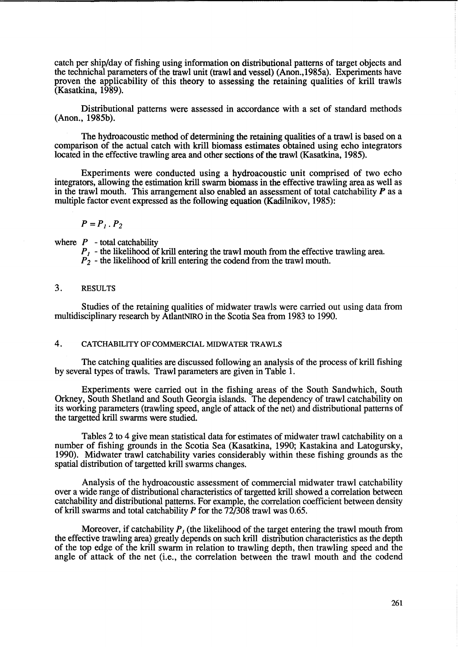catch per ship/day of fishing using information on distributional patterns of target objects and the technichal parameters of the trawl unit (trawl and vessel) (Anon.,1985a). Experiments have proven the applicability of this theory to assessing the retaining qualities of krill trawls (Kasatkina, 1989).

Distributional patterns were assessed in accordance with a set of standard methods (Anon., 1985b).

The hydroacoustic method of determining the retaining qualities of a trawl is based on a comparison of the actual catch with krill biomass estimates obtained using echo integrators located in the effective trawling area and other sections of the trawl (Kasatkina, 1985).

Experiments were conducted using a hydroacoustic unit comprised of two echo integrators, allowing the estimation krill swarm biomass in the effective trawling area as well as in the trawl mouth. This arrangement also enabled an assessment of total catchability *P* as a multiple factor event expressed as the following equation (Kadilnikov, 1985):

$$
P=P_1.P_2
$$

where  $P$  - total catchability

 *- the likelihood of krill entering the trawl mouth from the effective trawling area.* 

 $P_2$  - the likelihood of krill entering the codend from the trawl mouth.

# 3. RESULTS

Studies of the retaining qualities of midwater trawls were carried out using data from multidisciplinary research by AtlantNIRO in the Scotia Sea from 1983 to 1990.

## 4. CATCHABILITY OF COMMERCIAL MIDWATER TRAWLS

The catching qualities are discussed following an analysis of the process of krill fishing by several types of trawls. Trawl parameters are given in Table 1.

Experiments were carried out in the fishing areas of the South Sandwhich, South Orkney, South Shetland and South Georgia islands. The dependency of trawl catchability on its working parameters (trawling speed, angle of attack of the net) and distributional patterns of the targetted krill swanns were studied.

Tables 2 to 4 give mean statistical data for estimates of midwater trawl catchability on a number of fishing grounds in the Scotia Sea (Kasatkina, 1990; Kastakina and Latogursky, 1990). Midwater trawl catchability varies considerably within these fishing grounds as the spatial distribution of targetted krill swarms changes.

Analysis of the hydroacoustic assessment of commercial midwater trawl catchability over a wide range of distributional characteristics of targetted krill showed a correlation between catchability and distributional patterns. For example, the correlation coefficient between density of krill swarms and total catchability *P* for the 72/308 trawl was 0.65.

Moreover, if catchability  $P<sub>l</sub>$  (the likelihood of the target entering the trawl mouth from the effective trawling area) greatly depends on such krill distribution characteristics as the depth of the top edge of the krill swarm in relation to trawling depth, then trawling speed and the angle of attack of the net (i.e., the correlation between the trawl mouth and the codend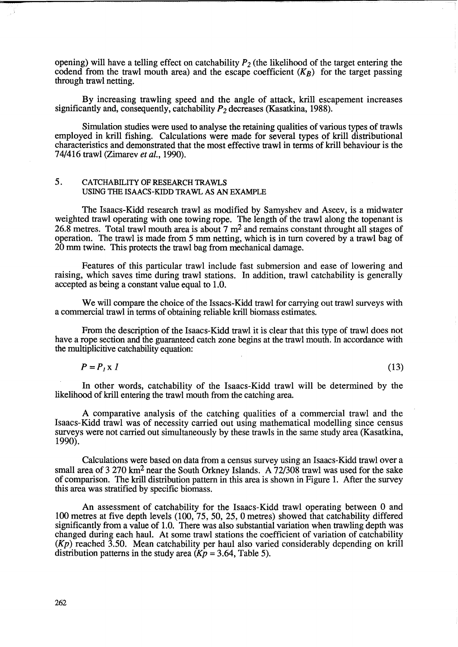opening) will have a telling effect on catchability  $P_2$  (the likelihood of the target entering the codend from the trawl mouth area) and the escape coefficient  $(K_B)$  for the target passing through trawl netting.

By increasing trawling speed and the angle of attack, krill escapement increases significantly and, consequently, catchability  $P_2$  decreases (Kasatkina, 1988).

Simulation studies were used to analyse the retaining qualities of various types of trawls employed in krill fishing. Calculations were made for several types of krill distributional characteristics and demonstrated that the most effective trawl in terms of krill behaviour is the 74/416 trawl (Zimarev *et al., 1990).* 

# 5. CATCHABILITY OF RESEARCH TRAWLS USING THE ISAACS-KIDD TRAWL AS AN EXAMPLE

The Isaacs-Kidd research trawl as modified by Samyshev and Aseev, is a midwater weighted trawl operating with one towing rope. The length of the trawl along the topenant is 26.8 metres. Total trawl mouth area is about  $7 \text{ m}^2$  and remains constant throught all stages of operation. The trawl is made from 5 mm netting, which is in turn covered by a trawl bag of 20 mm twine. This protects the trawl bag from mechanical damage.

Features of this particular trawl include fast submersion and ease of lowering and raising, which saves time during trawl stations. In addition, trawl catchability is generally accepted as being a constant value equal to 1.0.

We will compare the choice of the Issacs-Kidd trawl for carrying out trawl surveys with a commercial trawl in terms of obtaining reliable krill biomass estimates.

From the description of the Isaacs-Kidd trawl it is clear that this type of trawl does not have a rope section and the guaranteed catch zone begins at the trawl mouth. In accordance with the multiplicitive catchability equation:

$$
P = P_1 \times I
$$

(13)

In other words, catchability of the Isaacs-Kidd trawl will be determined by the likelihood of krill entering the trawl mouth from the catching area.

A comparative analysis of the catching qualities of a commercial trawl and the Isaacs-Kidd trawl was of necessity carried out using mathematical modelling since census surveys were not carried out simultaneously by these trawls in the same study area (Kasatkina, 1990).

Calculations were based on data from a census survey using an Isaacs-Kidd trawl over a small area of 3 270 km<sup>2</sup> near the South Orkney Islands. A 72/308 trawl was used for the sake of comparison. The krill distribution pattern in this area is shown in Figure 1. After the survey this area was stratified by specific biomass.

An assessment of catchability for the Isaacs-Kidd trawl operating between 0 and 100 metres at five depth levels (100, 75, 50, 25,0 metres) showed that catchability differed significantly from a value of 1.0. There was also substantial variation when trawling depth was changed during each haul. At some trawl stations the coefficient of variation of catchability  $(Kp)$  reached 3.50. Mean catchability per haul also varied considerably depending on krill distribution patterns in the study area  $(Kp = 3.64, Table 5)$ .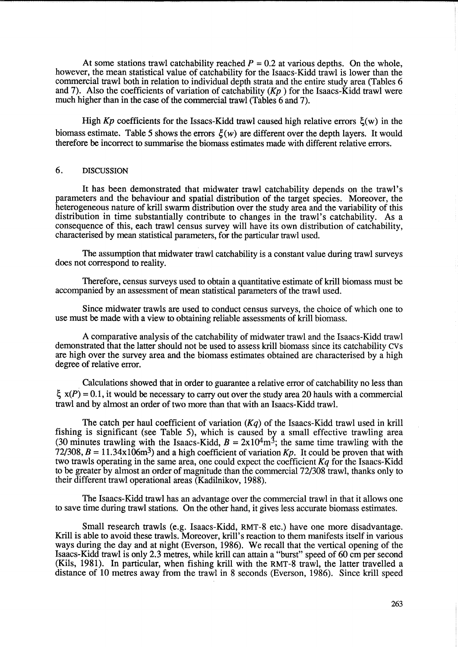At some stations trawl catchability reached  $P = 0.2$  at various depths. On the whole, however, the mean statistical value of catchability for the Isaacs-Kidd trawl is lower than the commercial trawl both in relation to individual depth strata and the entire study area (Tables 6 and 7). Also the coefficients of variation of catchability  $(Kp)$  for the Isaacs-Kidd trawl were much higher than in the case of the commercial trawl (Tables 6 and 7).

High  $Kp$  coefficients for the Issacs-Kidd trawl caused high relative errors  $\xi(w)$  in the biomass estimate. Table 5 shows the errors  $\zeta(w)$  are different over the depth layers. It would therefore be incorrect to summarise the biomass estimates made with different relative errors.

## 6. DISCUSSION

It has been demonstrated that midwater trawl catchability depends on the trawl's parameters and the behaviour and spatial distribution of the target species. Moreover, the heterogeneous nature of krill swarm distribution over the study area and the variability of this distribution in time substantially contribute to changes in the trawl's catchability. As a consequence of this, each trawl census survey will have its own distribution of catchability, characterised by mean statistical parameters, for the particular trawl used.

The assumption that midwater trawl catchability is a constant value during trawl surveys does not correspond to reality.

Therefore, census surveys used to obtain a quantitative estimate of krill biomass must be accompanied by an assessment of mean statistical parameters of the trawl used.

Since midwater trawls are used to conduct census surveys, the choice of which one to use must be made with a view to obtaining reliable assessments of krill biomass.

A comparative analysis of the catch ability of midwater trawl and the Isaacs-Kidd trawl demonstrated that the latter should not be used to assess krill biomass since its catchability CVs are high over the survey area and the biomass estimates obtained are characterised by a high degree of relative error.

. Calculations showed that in order to guarantee a relative error of catchability no less than  $\xi$  x(P) = 0.1, it would be necessary to carry out over the study area 20 hauls with a commercial trawl and by almost an order of two more than that with an Isaacs-Kidd trawl.

The catch per haul coefficient of variation  $(Kq)$  of the Isaacs-Kidd trawl used in krill fishing is significant (see Table 5), which is caused by a small effective trawling area (30 minutes trawling with the Isaacs-Kidd,  $B = 2x10^4 \text{m}^3$ ; the same time trawling with the  $72/308$ ,  $B = 11.34 \times 10^{6}$  m<sup>3</sup>) and a high coefficient of variation *Kp*. It could be proven that with two trawls operating in the same area, one could expect the coefficient  $Kq$  for the Isaacs-Kidd to be greater by almost an order of magnitude than the commercial 72/308 trawl, thanks only to their different trawl operational areas (Kadilnikov, 1988).

The Isaacs-Kidd trawl has an advantage over the commercial trawl in that it allows one to save time during trawl stations. On the other hand, it gives less accurate biomass estimates.

Small research trawls (e.g. Isaacs-Kidd, RMT-8 etc.) have one more disadvantage. Krill is able to avoid these trawls. Moreover, krill's reaction to them manifests itself in various ways during the day and at night (Everson, 1986). We recall that the vertical opening of the Isaacs-Kidd trawl is only 2.3 metres, while krill can attain a "burst" speed of 60 cm per second (Kils, 1981). In particular, when fishing krill with the RMT-8 trawl, the latter travelled a distance of 10 metres away from the trawl in 8 seconds (Everson, 1986). Since krill speed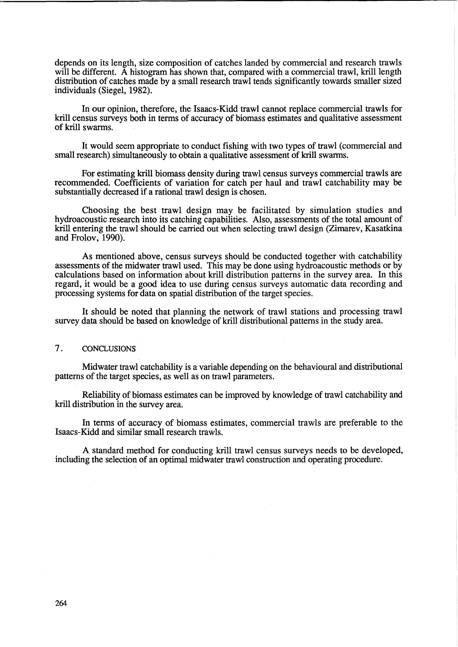depends on its length, size composition of catches landed by commercial and research trawls will be different. A histogram has shown that, compared with a commercial trawl, krill length distribution of catches made by a small research trawl tends significantly towards smaller sized individuals (Siegel, 1982).

In our opinion, therefore, the Isaacs-Kidd trawl cannot replace commercial trawls for krill census surveys both in terms of accuracy of biomass estimates and qualitative assessment of krill swarms.

It would seem appropriate to conduct fishing with two types of trawl (commercial and small research) simultaneously to obtain a qualitative assessment of krill swarms.

For estimating krill biomass density during trawl census surveys commercial trawls are recommended. Coefficients of variation for catch per haul and trawl catchability may be substantially decreased if a rational trawl design is chosen.

Choosing the best trawl design may be facilitated by simulation studies and hydroacoustic research into its catching capabilities. Also, assessments of the total amount of krill entering the trawl should be carried out when selecting trawl design (Zimarev, Kasatkina and Frolov, 1990).

As mentioned above, census surveys should be conducted together with catchability assessments of the midwater trawl used. This may be done using hydroacoustic methods or by calculations based on information about krill distribution patterns in the survey area. In this regard, it would be a good idea to use during census surveys automatic data recording and processing systems for data on spatial distribution of the target species.

It should be noted that planning the network of trawl stations and processing trawl survey data should be based on knowledge of krill distributional patterns in the study area.

#### 7. CONCLUSIONS

Midwater trawl catchability is a variable depending on the behavioural and distributional patterns of the target species, as well as on trawl parameters.

Reliability of biomass estimates can be improved by knowledge of trawl catchability and krill distribution in the survey area.

In terms of accuracy of biomass estimates, commercial trawls are preferable to the Isaacs-Kidd and similar small research trawls.

A standard method for conducting krill trawl census surveys needs to be developed, including the selection of an optimal midwater trawl construction and operating procedure.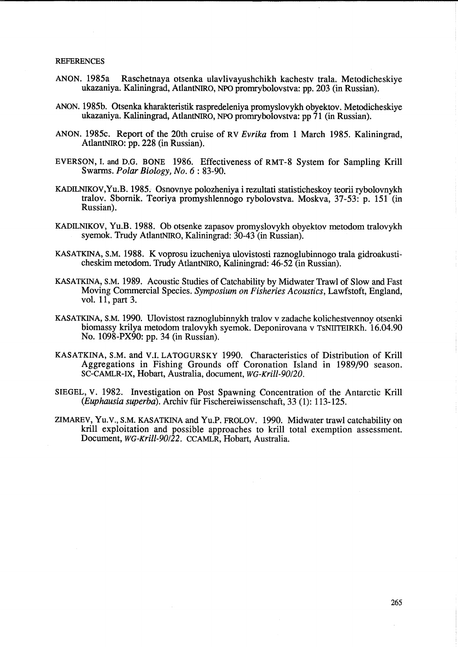#### REFERENCES

- ANON. 1985a Raschetnaya otsenka ulavlivayushchikh kachestv trala. Metodicheskiye ukazaniya. Kaliningrad, AtlantNIRo, NPO promrybolovstva: pp. 203 (in Russian).
- ANON. 1985b. Otsenka kharakteristik raspredeleniya promyslovykh obyektov. Metodicheskiye ukazaniya. Kaliningrad, AtlantNIRO, NPO promrybolovstva: pp 71 (in Russian).
- ANON. 1985c. Report of the 20th cruise of RV *Evrika* from 1 March 1985. Kaliningrad, AtlantNIRO: pp. 228 (in Russian).
- EVERSON, I. and D.G. BONE 1986. Effectiveness of RMT-8 System for Sampling Krill Swarms. *Polar Biology, No.* 6 : 83-90.
- KADILNIKOV,Yu.B. 1985. Osnovnye polozheniya i rezultati statisticheskoy teorii rybolovnykh tralov. Sbornik. Teoriya promyshlennogo rybolovstva. Moskva, 37-53: p. 151 (in Russian).
- KADILNIKOV, Yu.B. 1988. Ob otsenke zapasov promyslovykh obyektov metodom tralovykh syemok. Trudy AtlantNIRO, Kaliningrad: 30-43 (in Russian).
- KASATKINA, S.M. 1988. K voprosu izucheniya ulovistosti raznoglubinnogo trala gidroakusticheskim metodom. Trudy AtlantNIRO, Kaliningrad: 46-52 (in Russian).
- KASATKINA, S.M. 1989. Acoustic Studies of Catchability by Midwater Trawl of Slow and Fast Moving Commercial Species. *Symposium on Fisheries Acoustics,* Lawfstoft, England, vol. 11, part 3.
- KASATKINA, S.M. 1990. Ulovistost raznoglubinnykh tralov v zadache kolichestvennoy otsenki biomassy krilya metodom tralovykh syemok. Deponirovana v TsNIITEIRKh. 16.04.90 No. 1098-PX90: pp. 34 (in Russian).
- KASATKINA, S.M. and V.I. LATOGURSKY 1990. Characteristics of Distribution of Krill Aggregations in Fishing Grounds off Coronation Island in 1989/90 season. SC-CAMLR-IX, Hobart, Australia, document, *WG-Krill-90/20.*
- SIEGEL, v. 1982. Investigation on Post Spawning Concentration of the Antarctic Krill *(Euphausia superba)*. Archiv für Fischereiwissenschaft, 33 (1): 113-125.
- ZIMAREV, Yu.v., S.M. KASATKINA and Yu.P. FROLOV. 1990. Midwater trawl catchability on krill exploitation and possible approaches to krill total exemption assessment. Document, *WG-Krill-90/22.* CCAMLR, Hobart, Australia.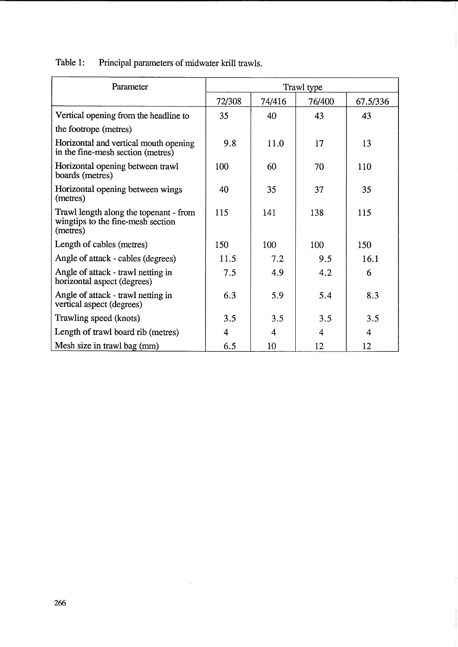Table 1: Principal parameters of midwater krill trawls.

| Parameter                                                                               | Trawl type |        |        |          |
|-----------------------------------------------------------------------------------------|------------|--------|--------|----------|
|                                                                                         | 72/308     | 74/416 | 76/400 | 67.5/336 |
| Vertical opening from the headline to                                                   | 35         | 40     | 43     | 43       |
| the footrope (metres)                                                                   |            |        |        |          |
| Horizontal and vertical mouth opening<br>in the fine-mesh section (metres)              | 9.8        | 11.0   | 17     | 13       |
| Horizontal opening between trawl<br>boards (metres)                                     | 100        | 60     | 70     | 110      |
| Horizontal opening between wings<br>(metres)                                            | 40         | 35     | 37     | 35       |
| Trawl length along the topenant - from<br>wingtips to the fine-mesh section<br>(metres) | 115        | 141    | 138    | 115      |
| Length of cables (metres)                                                               | 150        | 100    | 100    | 150      |
| Angle of attack - cables (degrees)                                                      | 11.5       | 7.2    | 9.5    | 16.1     |
| Angle of attack - trawl netting in<br>horizontal aspect (degrees)                       | 7.5        | 4.9    | 4.2    | 6        |
| Angle of attack - trawl netting in<br>vertical aspect (degrees)                         | 6.3        | 5.9    | 5.4    | 8.3      |
| Trawling speed (knots)                                                                  | 3.5        | 3.5    | 3.5    | 3.5      |
| Length of trawl board rib (metres)                                                      | 4          | 4      | 4      | 4        |
| Mesh size in trawl bag (mm)                                                             | 6.5        | 10     | 12     | 12       |

 $\hat{\mathcal{A}}$ 

 $\ddot{\phantom{a}}$ 

 $\sim 10$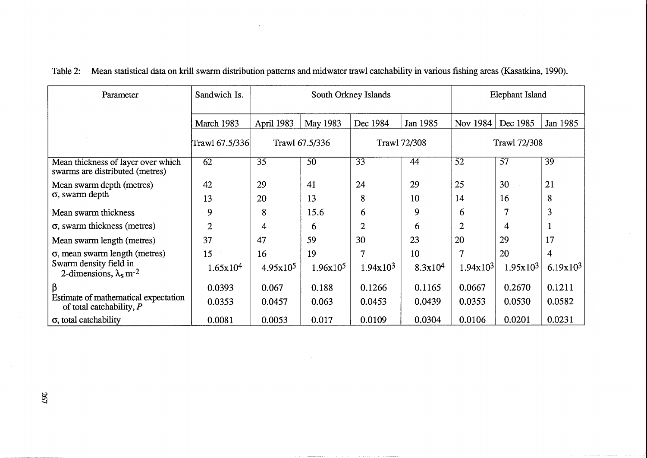| Parameter                                                             | Sandwich Is.   | South Orkney Islands |                |                 | Elephant Island     |                |                     |                 |
|-----------------------------------------------------------------------|----------------|----------------------|----------------|-----------------|---------------------|----------------|---------------------|-----------------|
|                                                                       | March 1983     | April 1983           | May 1983       | Dec 1984        | Jan 1985            | Nov 1984       | Dec 1985            | Jan 1985        |
|                                                                       | Trawl 67.5/336 |                      | Trawl 67.5/336 |                 | <b>Trawl 72/308</b> |                | <b>Trawl 72/308</b> |                 |
| Mean thickness of layer over which<br>swarms are distributed (metres) | 62             | 35                   | 50             | $\overline{33}$ | 44                  | 52             | $\overline{57}$     | $\overline{39}$ |
| Mean swarm depth (metres)                                             | 42             | 29                   | 41             | 24              | 29                  | 25             | 30                  | 21              |
| $\sigma$ , swarm depth                                                | 13             | 20                   | 13             | 8               | 10                  | 14             | 16                  | 8               |
| Mean swarm thickness                                                  | 9              | 8                    | 15.6           | 6               | 9                   | 6              | $\overline{7}$      | 3               |
| $\sigma$ , swarm thickness (metres)                                   | $\overline{2}$ | 4                    | 6              | $\overline{2}$  | 6                   | $\overline{2}$ | 4                   |                 |
| Mean swarm length (metres)                                            | 37             | 47                   | 59             | 30              | 23                  | 20             | 29                  | 17              |
| $\sigma$ , mean swarm length (metres)                                 | 15             | 16                   | 19             | 7               | 10                  | 7              | 20                  | 4               |
| Swarm density field in<br>2-dimensions, $\lambda_s$ m <sup>-2</sup>   | 1.65x104       | 4.95x10 <sup>5</sup> | $1.96x10^5$    | 1.94x103        | 8.3x10 <sup>4</sup> | 1.94x103       | 1.95x103            | 6.19x103        |
| β                                                                     | 0.0393         | 0.067                | 0.188          | 0.1266          | 0.1165              | 0.0667         | 0.2670              | 0.1211          |
| Estimate of mathematical expectation<br>of total catchability, $P$    | 0.0353         | 0.0457               | 0.063          | 0.0453          | 0.0439              | 0.0353         | 0.0530              | 0.0582          |
| σ, total catchability                                                 | 0.0081         | 0.0053               | 0.017          | 0.0109          | 0.0304              | 0.0106         | 0.0201              | 0.0231          |

|  |  | Table 2: Mean statistical data on krill swarm distribution patterns and midwater trawl catchability in various fishing areas (Kasatkina, 1990). |  |  |
|--|--|-------------------------------------------------------------------------------------------------------------------------------------------------|--|--|
|--|--|-------------------------------------------------------------------------------------------------------------------------------------------------|--|--|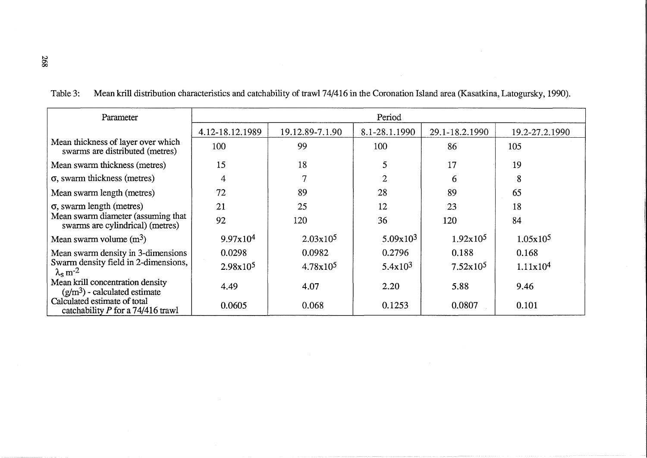|  | Table 3: Mean krill distribution characteristics and catchability of trawl 74/416 in the Coronation Island area (Kasatkina, Latogursky, 1990). |  |
|--|------------------------------------------------------------------------------------------------------------------------------------------------|--|
|--|------------------------------------------------------------------------------------------------------------------------------------------------|--|

| Parameter                                                                 | Period               |                 |                |                      |                      |
|---------------------------------------------------------------------------|----------------------|-----------------|----------------|----------------------|----------------------|
|                                                                           | 4.12-18.12.1989      | 19.12.89-7.1.90 | 8.1-28.1.1990  | 29.1-18.2.1990       | 19.2-27.2.1990       |
| Mean thickness of layer over which<br>swarms are distributed (metres)     | 100                  | 99              | 100            | 86                   | 105                  |
| Mean swarm thickness (metres)                                             | 15                   | 18              | 5              | 17                   | 19                   |
| $\sigma$ , swarm thickness (metres)                                       | 4                    |                 | $\overline{2}$ | 6                    | 8                    |
| Mean swarm length (metres)                                                | 72                   | 89              | 28             | 89                   | 65                   |
| $\sigma$ , swarm length (metres)                                          | 21                   | 25              | 12             | 23                   | 18                   |
| Mean swarm diameter (assuming that<br>swarms are cylindrical) (metres)    | 92                   | 120             | 36             | 120                  | 84                   |
| Mean swarm volume $(m^3)$                                                 | 9.97x10 <sup>4</sup> | $2.03x10^5$     | 5.09x103       | 1.92x10 <sup>5</sup> | 1.05x10 <sup>5</sup> |
| Mean swarm density in 3-dimensions                                        | 0.0298               | 0.0982          | 0.2796         | 0.188                | 0.168                |
| Swarm density field in 2-dimensions,<br>$\lambda_{\rm s}$ m <sup>-2</sup> | $2.98x10^5$          | $4.78x10^5$     | $5.4x10^3$     | $7.52 \times 10^5$   | 1.11x10 <sup>4</sup> |
| Mean krill concentration density<br>$(g/m3)$ - calculated estimate        | 4.49                 | 4.07            | 2.20           | 5.88                 | 9.46                 |
| Calculated estimate of total<br>catchability $P$ for a 74/416 trawl       | 0.0605               | 0.068           | 0.1253         | 0.0807               | 0.101                |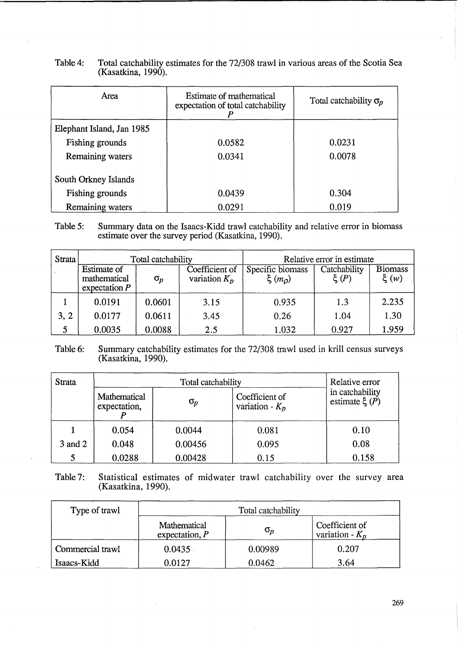| Area                      | Estimate of mathematical<br>expectation of total catchability | Total catchability $\sigma_p$ |  |
|---------------------------|---------------------------------------------------------------|-------------------------------|--|
| Elephant Island, Jan 1985 |                                                               |                               |  |
| Fishing grounds           | 0.0582                                                        | 0.0231                        |  |
| Remaining waters          | 0.0341                                                        | 0.0078                        |  |
| South Orkney Islands      |                                                               |                               |  |
| Fishing grounds           | 0.0439                                                        | 0.304                         |  |
| Remaining waters          | 0.0291                                                        | 0.019                         |  |

Table 4: Total catchability estimates for the 72/308 trawl in various areas of the Scotia Sea (Kasatkina, 1990).

Table 5: Summary data on the Isaacs-Kidd trawl catchability and relative error in biomass estimate over the survey period (Kasatkina, 1990).

| Strata | Total catchability                             |            |                                   |                                | Relative error in estimate |                            |
|--------|------------------------------------------------|------------|-----------------------------------|--------------------------------|----------------------------|----------------------------|
|        | Estimate of<br>mathematical<br>expectation $P$ | $\sigma_p$ | Coefficient of<br>variation $K_p$ | Specific biomass<br>$\xi(m_D)$ | Catchability<br>$\xi(P)$   | <b>Biomass</b><br>$\xi(w)$ |
|        | 0.0191                                         | 0.0601     | 3.15                              | 0.935                          | 1.3                        | 2.235                      |
| 3, 2   | 0.0177                                         | 0.0611     | 3.45                              | 0.26                           | 1.04                       | 1.30                       |
| 5      | 0.0035                                         | 0.0088     | 2.5                               | 1.032                          | 0.927                      | 1.959                      |

# Table 6: Summary catchability estimates for the 72/308 trawl used in krill census surveys (Kasatkina, 1990).

| Strata  |                              | Relative error |                                     |                                      |
|---------|------------------------------|----------------|-------------------------------------|--------------------------------------|
|         | Mathematical<br>expectation, | $\sigma_p$     | Coefficient of<br>variation - $K_p$ | in catchability<br>estimate $\xi(P)$ |
|         | 0.054                        | 0.0044         | 0.081                               | 0.10                                 |
| 3 and 2 | 0.048                        | 0.00456        | 0.095                               | 0.08                                 |
|         | 0.0288                       | 0.00428        | 0.15                                | 0.158                                |

Table 7: Statistical estimates of midwater trawl catchability over the survey area (Kasatkina, 1990).

| Type of trawl    | Total catchability                                                                                           |         |       |  |
|------------------|--------------------------------------------------------------------------------------------------------------|---------|-------|--|
|                  | Coefficient of<br>Mathematical<br>$\sigma_{\scriptscriptstyle \!D}$<br>variation - $K_n$<br>expectation, $P$ |         |       |  |
| Commercial trawl | 0.0435                                                                                                       | 0.00989 | 0.207 |  |
| Isaacs-Kidd      | 0.0127                                                                                                       | 0.0462  | 3.64  |  |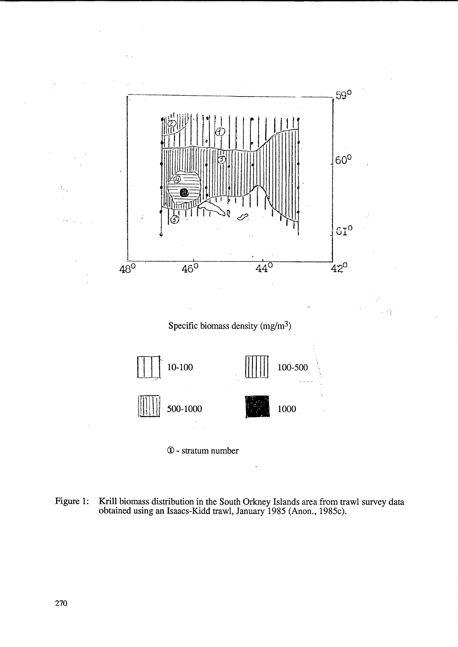

- (j) stratum number
- Figure 1: Krill biomass distribution in the South Orkney Islands area from trawl survey data obtained using an Isaacs-Kidd trawl, January 1985 (Anon., 1985c).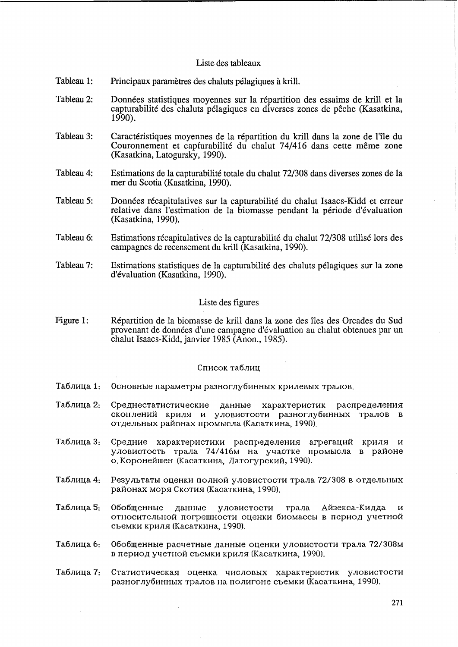## Liste des tableaux

- Tableau 1: Principaux parametres des chaluts pelagiques a krill.
- Tableau 2: Données statistiques moyennes sur la répartition des essaims de krill et la capturabilite des chaluts pelagiques en diverses zones de peche (Kasatkina, 1990).
- Tableau 3: Caractéristiques moyennes de la répartition du krill dans la zone de l'île du Couronnement et capturabilité du chalut 74/416 dans cette même zone (Kasatkina, Latogursky, 1990).
- Tableau 4: Estimations de la capturabilite totale du chalut 72/308 dans diverses zones de la mer du Scotia (Kasatkina, 1990).
- Tableau 5: Données récapitulatives sur la capturabilité du chalut Isaacs-Kidd et erreur relative dans l'estimation de la biomasse pendant la période d'évaluation (Kasatkina, 1990).
- Tableau 6: Estimations recapitulatives de la capturabilite du chalut 72/308 utilise lors des campagnes de recensement du krill (Kasatkina, 1990).
- Tableau 7: Estimations statistiques de la capturabilite des chaluts pelagiques sur la zone d'evaluation (Kasatkina, 1990).

# Liste des figures

Figure 1: Repartition de la biomasse de krill dans la zone des iles des Orcades du Sud proven ant de donnees d'une campagne d'evaluation au chalut obtenues par un chalut Isaacs-Kidd, janvier 1985 (Anon., 1985).

# Список таблиц

- Таблица 1: Основные параметры разноглубинных крилевых тралов.
- Таблица 2: Среднестатистические данные характеристик распределения скоплений криля и уловистости разноглубинных тралов в отдельных районах промысла (Касаткина, 1990).
- Таблица 3: Средние характеристики распределения агрегаций криля и уловистость трала 74/416м на участке промысла в районе о. Коронейшен (Касаткина, Латогурский, 1990).
- Таблица 4: Результаты оценки полной уловистости трала 72/308 в отдельных paI10Hax MOP5I CKOTH5I (KacaTKHHa, 1990).
- Таблица 5: Обобщенные данные уловистости трала Айзекса-Кидда и относительной погрешности оценки биомассы в период учетной съемки криля (Касаткина, 1990).
- Таблица 6: Обобщенные расчетные данные оценки уловистости трала 72/308м в период учетной съемки криля (Касаткина, 1990).
- Таблица 7: Статистическая оценка числовых характеристик уловистости разноглубинных тралов на полигоне съемки (Касаткина, 1990).